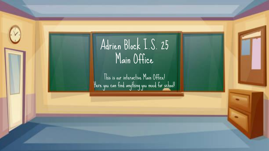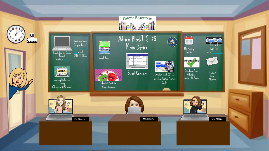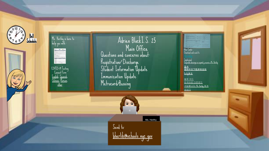



COVID-19 Testing Consent Form <u>[English](https://www.schools.nyc.gov/docs/default-source/default-document-library/student-covid-19-testing-consent-form---september-27-2020), [Spanish](https://www.schools.nyc.gov/docs/default-source/default-document-library/31844-school-testing-covid-consent-form-101320-spanish)</u>, <u>[Chinese,](https://www.schools.nyc.gov/docs/default-source/default-document-library/31844-school-testing-covid-consent-form-101320-chinese) [Korean](https://www.schools.nyc.gov/docs/default-source/default-document-library/31844-school-testing-covid-consent-form-101320-korean)</u>, [other](https://www.schools.nyc.gov/school-year-20-21/return-to-school-2020/health-and-safety/covid-19-testing)

Questions and concerns about: Registration/ Discharge Student Information Update Immunization Update Metrocard/Bussing Adrien BlockI.S. 25 Main Office



Ms. Herlihy [bherlih@schools.nyc.gov](mailto:bherlih@schools.nyc.gov) Send to:

Blue Cards-

Download and send to

Iarjeta azul<br>[Disponible descarga en español y reenvío a Ms. Herlihy](https://www.schools.nyc.gov/docs/default-source/default-document-library/31711-2020-emergency-contactcard-20200701-spanish)

蓝[卡](https://www.schools.nyc.gov/docs/default-source/default-document-library/31711-2020-emergency-contactcard-20200701-chinese)<br>[提供中文下](https://www.schools.nyc.gov/docs/default-source/default-document-library/31711-2020-emergency-contactcard-20200701-chinese)载并转发给 Herlihy[女士](https://www.schools.nyc.gov/docs/default-source/default-document-library/31711-2020-emergency-contactcard-20200701-chinese)

[블루](https://www.schools.nyc.gov/docs/default-source/default-document-library/31711-2020-emergency-contactcard-20200701-korean) 카드 한국어로 [다운로드](https://www.schools.nyc.gov/docs/default-source/default-document-library/31711-2020-emergency-contactcard-20200701-korean)

[가능합니다](https://www.schools.nyc.gov/docs/default-source/default-document-library/31711-2020-emergency-contactcard-20200701-korean). Ms. Herlihy 에게 [보내기](https://www.schools.nyc.gov/docs/default-source/default-document-library/31711-2020-emergency-contactcard-20200701-korean)